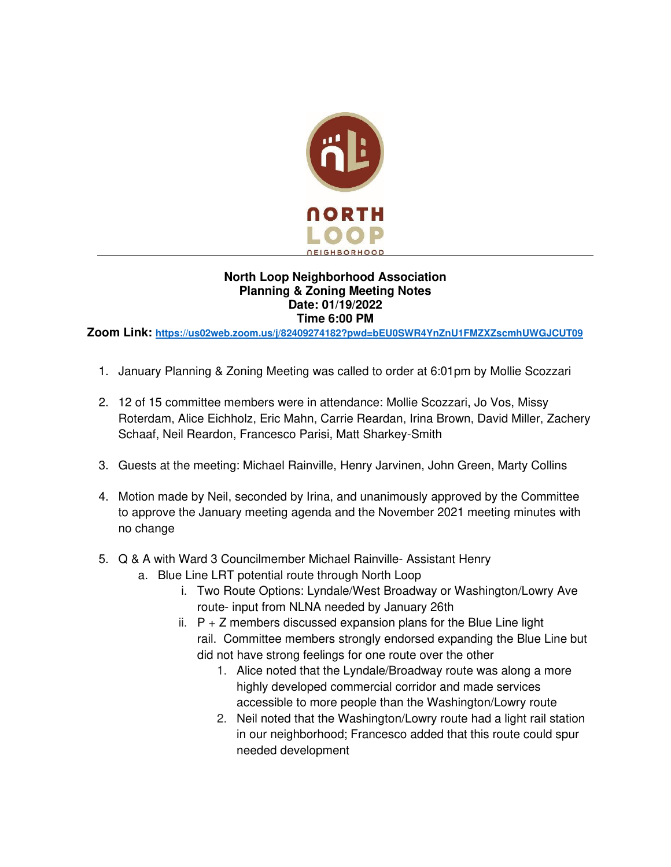

## **North Loop Neighborhood Association Planning & Zoning Meeting Notes Date: 01/19/2022 Time 6:00 PM**

**Zoom Link: <https://us02web.zoom.us/j/82409274182?pwd=bEU0SWR4YnZnU1FMZXZscmhUWGJCUT09>**

- 1. January Planning & Zoning Meeting was called to order at 6:01pm by Mollie Scozzari
- 2. 12 of 15 committee members were in attendance: Mollie Scozzari, Jo Vos, Missy Roterdam, Alice Eichholz, Eric Mahn, Carrie Reardan, Irina Brown, David Miller, Zachery Schaaf, Neil Reardon, Francesco Parisi, Matt Sharkey-Smith
- 3. Guests at the meeting: Michael Rainville, Henry Jarvinen, John Green, Marty Collins
- 4. Motion made by Neil, seconded by Irina, and unanimously approved by the Committee to approve the January meeting agenda and the November 2021 meeting minutes with no change
- 5. Q & A with Ward 3 Councilmember Michael Rainville- Assistant Henry
	- a. Blue Line LRT potential route through North Loop
		- i. Two Route Options: Lyndale/West Broadway or Washington/Lowry Ave route- input from NLNA needed by January 26th
		- ii.  $P + Z$  members discussed expansion plans for the Blue Line light rail. Committee members strongly endorsed expanding the Blue Line but did not have strong feelings for one route over the other
			- 1. Alice noted that the Lyndale/Broadway route was along a more highly developed commercial corridor and made services accessible to more people than the Washington/Lowry route
			- 2. Neil noted that the Washington/Lowry route had a light rail station in our neighborhood; Francesco added that this route could spur needed development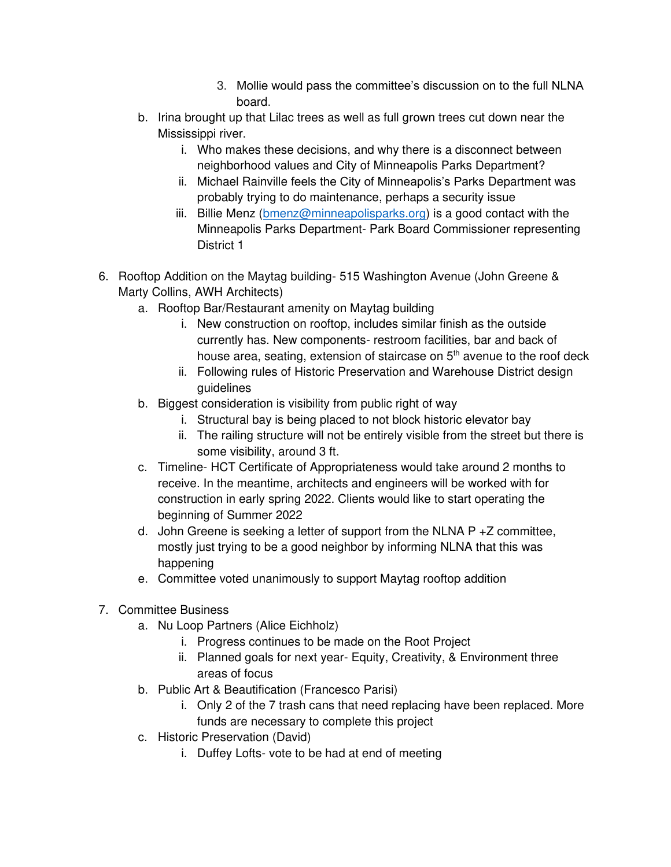- 3. Mollie would pass the committee's discussion on to the full NLNA board.
- b. Irina brought up that Lilac trees as well as full grown trees cut down near the Mississippi river.
	- i. Who makes these decisions, and why there is a disconnect between neighborhood values and City of Minneapolis Parks Department?
	- ii. Michael Rainville feels the City of Minneapolis's Parks Department was probably trying to do maintenance, perhaps a security issue
	- iii. Billie Menz [\(bmenz@minneapolisparks.org\)](mailto:bmenz@minneapolisparks.org) is a good contact with the Minneapolis Parks Department- Park Board Commissioner representing District 1
- 6. Rooftop Addition on the Maytag building- 515 Washington Avenue (John Greene & Marty Collins, AWH Architects)
	- a. Rooftop Bar/Restaurant amenity on Maytag building
		- i. New construction on rooftop, includes similar finish as the outside currently has. New components- restroom facilities, bar and back of house area, seating, extension of staircase on 5<sup>th</sup> avenue to the roof deck
		- ii. Following rules of Historic Preservation and Warehouse District design guidelines
	- b. Biggest consideration is visibility from public right of way
		- i. Structural bay is being placed to not block historic elevator bay
		- ii. The railing structure will not be entirely visible from the street but there is some visibility, around 3 ft.
	- c. Timeline- HCT Certificate of Appropriateness would take around 2 months to receive. In the meantime, architects and engineers will be worked with for construction in early spring 2022. Clients would like to start operating the beginning of Summer 2022
	- d. John Greene is seeking a letter of support from the NLNA  $P + Z$  committee, mostly just trying to be a good neighbor by informing NLNA that this was happening
	- e. Committee voted unanimously to support Maytag rooftop addition
- 7. Committee Business
	- a. Nu Loop Partners (Alice Eichholz)
		- i. Progress continues to be made on the Root Project
		- ii. Planned goals for next year- Equity, Creativity, & Environment three areas of focus
	- b. Public Art & Beautification (Francesco Parisi)
		- i. Only 2 of the 7 trash cans that need replacing have been replaced. More funds are necessary to complete this project
	- c. Historic Preservation (David)
		- i. Duffey Lofts- vote to be had at end of meeting